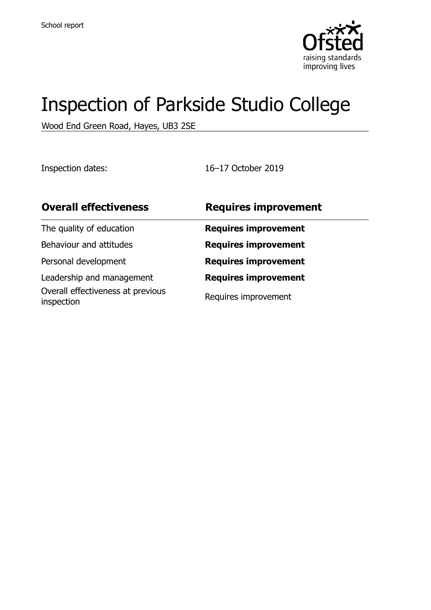

# Inspection of Parkside Studio College

Wood End Green Road, Hayes, UB3 2SE

Inspection dates: 16–17 October 2019

| <b>Overall effectiveness</b>                    | <b>Requires improvement</b> |
|-------------------------------------------------|-----------------------------|
| The quality of education                        | <b>Requires improvement</b> |
| Behaviour and attitudes                         | <b>Requires improvement</b> |
| Personal development                            | <b>Requires improvement</b> |
| Leadership and management                       | <b>Requires improvement</b> |
| Overall effectiveness at previous<br>inspection | Requires improvement        |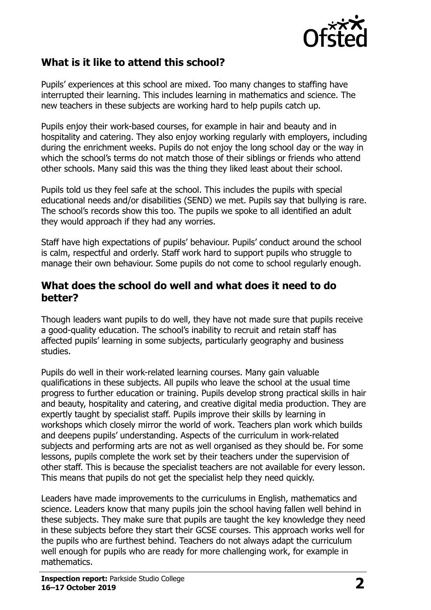

#### **What is it like to attend this school?**

Pupils' experiences at this school are mixed. Too many changes to staffing have interrupted their learning. This includes learning in mathematics and science. The new teachers in these subjects are working hard to help pupils catch up.

Pupils enjoy their work-based courses, for example in hair and beauty and in hospitality and catering. They also enjoy working regularly with employers, including during the enrichment weeks. Pupils do not enjoy the long school day or the way in which the school's terms do not match those of their siblings or friends who attend other schools. Many said this was the thing they liked least about their school.

Pupils told us they feel safe at the school. This includes the pupils with special educational needs and/or disabilities (SEND) we met. Pupils say that bullying is rare. The school's records show this too. The pupils we spoke to all identified an adult they would approach if they had any worries.

Staff have high expectations of pupils' behaviour. Pupils' conduct around the school is calm, respectful and orderly. Staff work hard to support pupils who struggle to manage their own behaviour. Some pupils do not come to school regularly enough.

#### **What does the school do well and what does it need to do better?**

Though leaders want pupils to do well, they have not made sure that pupils receive a good-quality education. The school's inability to recruit and retain staff has affected pupils' learning in some subjects, particularly geography and business studies.

Pupils do well in their work-related learning courses. Many gain valuable qualifications in these subjects. All pupils who leave the school at the usual time progress to further education or training. Pupils develop strong practical skills in hair and beauty, hospitality and catering, and creative digital media production. They are expertly taught by specialist staff. Pupils improve their skills by learning in workshops which closely mirror the world of work. Teachers plan work which builds and deepens pupils' understanding. Aspects of the curriculum in work-related subjects and performing arts are not as well organised as they should be. For some lessons, pupils complete the work set by their teachers under the supervision of other staff. This is because the specialist teachers are not available for every lesson. This means that pupils do not get the specialist help they need quickly.

Leaders have made improvements to the curriculums in English, mathematics and science. Leaders know that many pupils join the school having fallen well behind in these subjects. They make sure that pupils are taught the key knowledge they need in these subjects before they start their GCSE courses. This approach works well for the pupils who are furthest behind. Teachers do not always adapt the curriculum well enough for pupils who are ready for more challenging work, for example in mathematics.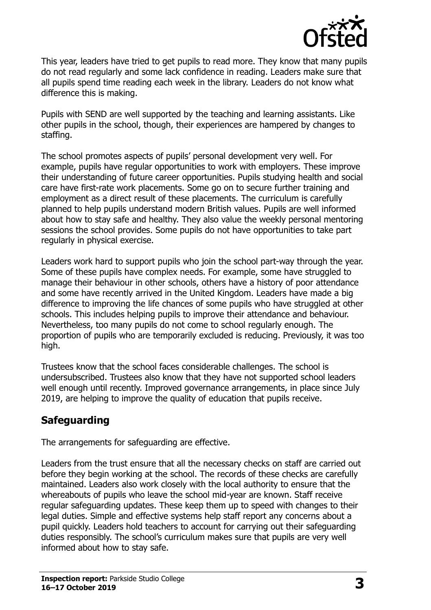

This year, leaders have tried to get pupils to read more. They know that many pupils do not read regularly and some lack confidence in reading. Leaders make sure that all pupils spend time reading each week in the library. Leaders do not know what difference this is making.

Pupils with SEND are well supported by the teaching and learning assistants. Like other pupils in the school, though, their experiences are hampered by changes to staffing.

The school promotes aspects of pupils' personal development very well. For example, pupils have regular opportunities to work with employers. These improve their understanding of future career opportunities. Pupils studying health and social care have first-rate work placements. Some go on to secure further training and employment as a direct result of these placements. The curriculum is carefully planned to help pupils understand modern British values. Pupils are well informed about how to stay safe and healthy. They also value the weekly personal mentoring sessions the school provides. Some pupils do not have opportunities to take part regularly in physical exercise.

Leaders work hard to support pupils who join the school part-way through the year. Some of these pupils have complex needs. For example, some have struggled to manage their behaviour in other schools, others have a history of poor attendance and some have recently arrived in the United Kingdom. Leaders have made a big difference to improving the life chances of some pupils who have struggled at other schools. This includes helping pupils to improve their attendance and behaviour. Nevertheless, too many pupils do not come to school regularly enough. The proportion of pupils who are temporarily excluded is reducing. Previously, it was too high.

Trustees know that the school faces considerable challenges. The school is undersubscribed. Trustees also know that they have not supported school leaders well enough until recently. Improved governance arrangements, in place since July 2019, are helping to improve the quality of education that pupils receive.

# **Safeguarding**

The arrangements for safeguarding are effective.

Leaders from the trust ensure that all the necessary checks on staff are carried out before they begin working at the school. The records of these checks are carefully maintained. Leaders also work closely with the local authority to ensure that the whereabouts of pupils who leave the school mid-year are known. Staff receive regular safeguarding updates. These keep them up to speed with changes to their legal duties. Simple and effective systems help staff report any concerns about a pupil quickly. Leaders hold teachers to account for carrying out their safeguarding duties responsibly. The school's curriculum makes sure that pupils are very well informed about how to stay safe.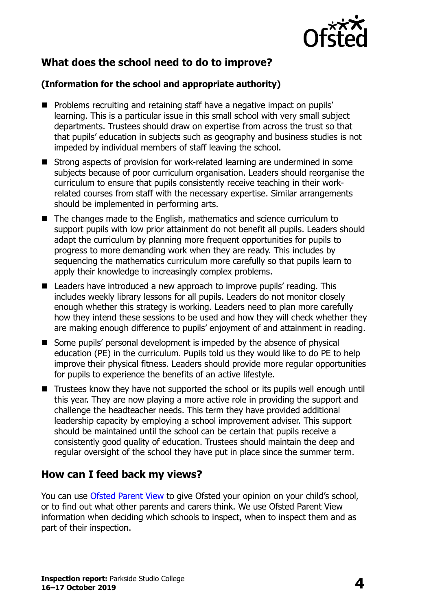

## **What does the school need to do to improve?**

#### **(Information for the school and appropriate authority)**

- **Problems recruiting and retaining staff have a negative impact on pupils'** learning. This is a particular issue in this small school with very small subject departments. Trustees should draw on expertise from across the trust so that that pupils' education in subjects such as geography and business studies is not impeded by individual members of staff leaving the school.
- Strong aspects of provision for work-related learning are undermined in some subjects because of poor curriculum organisation. Leaders should reorganise the curriculum to ensure that pupils consistently receive teaching in their workrelated courses from staff with the necessary expertise. Similar arrangements should be implemented in performing arts.
- The changes made to the English, mathematics and science curriculum to support pupils with low prior attainment do not benefit all pupils. Leaders should adapt the curriculum by planning more frequent opportunities for pupils to progress to more demanding work when they are ready. This includes by sequencing the mathematics curriculum more carefully so that pupils learn to apply their knowledge to increasingly complex problems.
- Leaders have introduced a new approach to improve pupils' reading. This includes weekly library lessons for all pupils. Leaders do not monitor closely enough whether this strategy is working. Leaders need to plan more carefully how they intend these sessions to be used and how they will check whether they are making enough difference to pupils' enjoyment of and attainment in reading.
- Some pupils' personal development is impeded by the absence of physical education (PE) in the curriculum. Pupils told us they would like to do PE to help improve their physical fitness. Leaders should provide more regular opportunities for pupils to experience the benefits of an active lifestyle.
- Trustees know they have not supported the school or its pupils well enough until this year. They are now playing a more active role in providing the support and challenge the headteacher needs. This term they have provided additional leadership capacity by employing a school improvement adviser. This support should be maintained until the school can be certain that pupils receive a consistently good quality of education. Trustees should maintain the deep and regular oversight of the school they have put in place since the summer term.

## **How can I feed back my views?**

You can use [Ofsted Parent View](http://parentview.ofsted.gov.uk/) to give Ofsted your opinion on your child's school, or to find out what other parents and carers think. We use Ofsted Parent View information when deciding which schools to inspect, when to inspect them and as part of their inspection.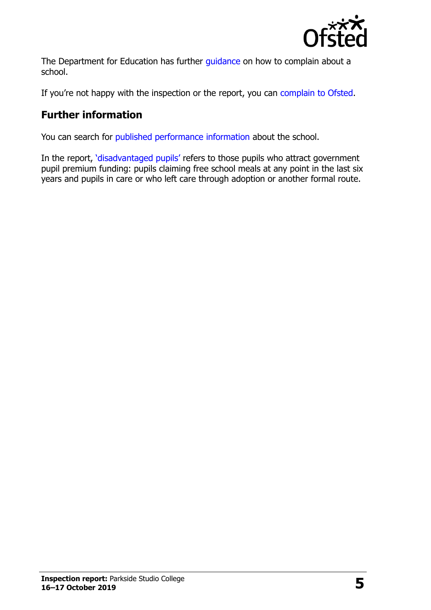

The Department for Education has further quidance on how to complain about a school.

If you're not happy with the inspection or the report, you can [complain to Ofsted.](http://www.gov.uk/complain-ofsted-report)

# **Further information**

You can search for [published performance information](http://www.compare-school-performance.service.gov.uk/) about the school.

In the report, '[disadvantaged pupils](http://www.gov.uk/guidance/pupil-premium-information-for-schools-and-alternative-provision-settings)' refers to those pupils who attract government pupil premium funding: pupils claiming free school meals at any point in the last six years and pupils in care or who left care through adoption or another formal route.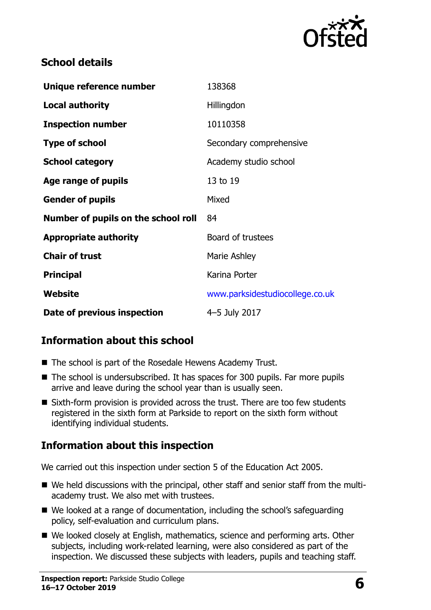

#### **School details**

| Unique reference number             | 138368                          |
|-------------------------------------|---------------------------------|
| <b>Local authority</b>              | Hillingdon                      |
| <b>Inspection number</b>            | 10110358                        |
| <b>Type of school</b>               | Secondary comprehensive         |
| <b>School category</b>              | Academy studio school           |
| Age range of pupils                 | 13 to 19                        |
| <b>Gender of pupils</b>             | Mixed                           |
| Number of pupils on the school roll | 84                              |
| <b>Appropriate authority</b>        | Board of trustees               |
| <b>Chair of trust</b>               | Marie Ashley                    |
| <b>Principal</b>                    | Karina Porter                   |
| Website                             | www.parksidestudiocollege.co.uk |
| Date of previous inspection         | 4-5 July 2017                   |

## **Information about this school**

- The school is part of the Rosedale Hewens Academy Trust.
- The school is undersubscribed. It has spaces for 300 pupils. Far more pupils arrive and leave during the school year than is usually seen.
- Sixth-form provision is provided across the trust. There are too few students registered in the sixth form at Parkside to report on the sixth form without identifying individual students.

#### **Information about this inspection**

We carried out this inspection under section 5 of the Education Act 2005.

- We held discussions with the principal, other staff and senior staff from the multiacademy trust. We also met with trustees.
- We looked at a range of documentation, including the school's safeguarding policy, self-evaluation and curriculum plans.
- We looked closely at English, mathematics, science and performing arts. Other subjects, including work-related learning, were also considered as part of the inspection. We discussed these subjects with leaders, pupils and teaching staff.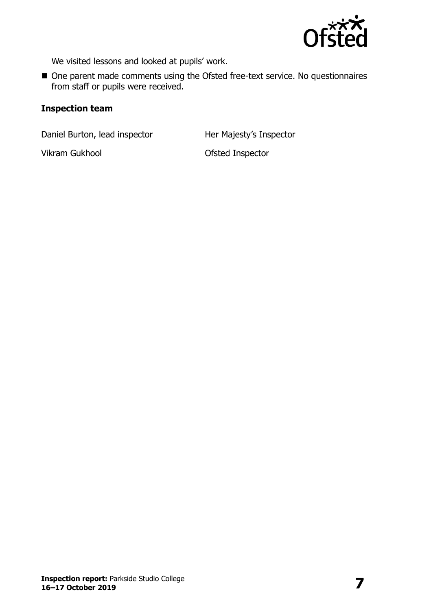

We visited lessons and looked at pupils' work.

■ One parent made comments using the Ofsted free-text service. No questionnaires from staff or pupils were received.

#### **Inspection team**

Daniel Burton, lead inspector Her Majesty's Inspector

Vikram Gukhool **Ofsted Inspector**